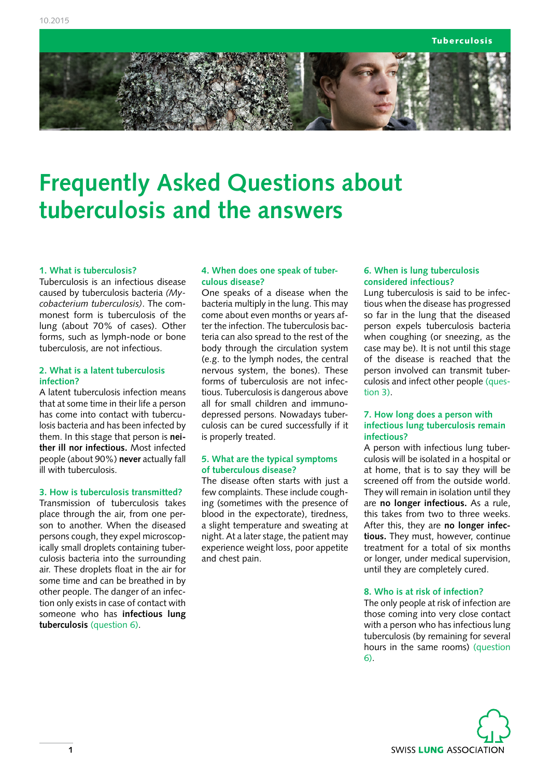Tuberculosis



# **Frequently Asked Questions about tuberculosis and the answers**

## **1. What is tuberculosis?**

Tuberculosis is an infectious disease caused by tuberculosis bacteria *(Mycobacterium tuberculosis)*. The commonest form is tuberculosis of the lung (about 70% of cases). Other forms, such as lymph-node or bone tuberculosis, are not infectious.

### **2. What is a latent tuberculosis infection?**

A latent tuberculosis infection means that at some time in their life a person has come into contact with tuberculosis bacteria and has been infected by them. In this stage that person is **neither ill nor infectious.** Most infected people (about 90%) **never** actually fall ill with tuberculosis.

## **3. How is tuberculosis transmitted?**

Transmission of tuberculosis takes place through the air, from one person to another. When the diseased persons cough, they expel microscopically small droplets containing tuberculosis bacteria into the surrounding air. These droplets float in the air for some time and can be breathed in by other people. The danger of an infection only exists in case of contact with someone who has **infectious lung tuberculosis** (question 6).

#### **4. When does one speak of tuberculous disease?**

One speaks of a disease when the bacteria multiply in the lung. This may come about even months or years after the infection. The tuberculosis bacteria can also spread to the rest of the body through the circulation system (e.g. to the lymph nodes, the central nervous system, the bones). These forms of tuberculosis are not infectious. Tuberculosis is dangerous above all for small children and immunodepressed persons. Nowadays tuberculosis can be cured successfully if it is properly treated.

## **5. What are the typical symptoms of tuberculous disease?**

The disease often starts with just a few complaints. These include coughing (sometimes with the presence of blood in the expectorate), tiredness, a slight temperature and sweating at night. At a later stage, the patient may experience weight loss, poor appetite and chest pain.

#### **6. When is lung tuberculosis considered infectious?**

Lung tuberculosis is said to be infectious when the disease has progressed so far in the lung that the diseased person expels tuberculosis bacteria when coughing (or sneezing, as the case may be). It is not until this stage of the disease is reached that the person involved can transmit tuberculosis and infect other people (question 3).

## **7. How long does a person with infectious lung tuberculosis remain infectious?**

A person with infectious lung tuberculosis will be isolated in a hospital or at home, that is to say they will be screened off from the outside world. They will remain in isolation until they are **no longer infectious.** As a rule, this takes from two to three weeks. After this, they are **no longer infectious.** They must, however, continue treatment for a total of six months or longer, under medical supervision, until they are completely cured.

#### **8. Who is at risk of infection?**

The only people at risk of infection are those coming into very close contact with a person who has infectious lung tuberculosis (by remaining for several hours in the same rooms) (question 6).

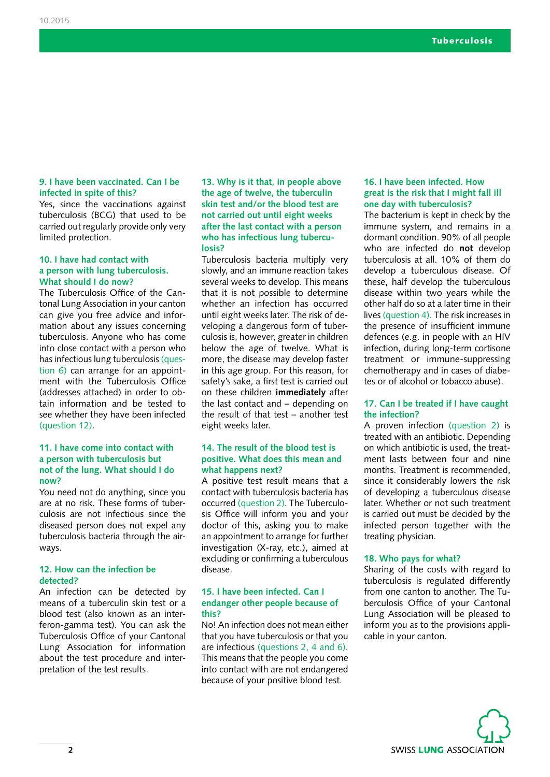## **9. I have been vaccinated. Can I be infected in spite of this?**

Yes, since the vaccinations against tuberculosis (BCG) that used to be carried out regularly provide only very limited protection.

#### **10. I have had contact with a person with lung tuberculosis. What should I do now?**

The Tuberculosis Office of the Cantonal Lung Association in your canton can give you free advice and information about any issues concerning tuberculosis. Anyone who has come into close contact with a person who has infectious lung tuberculosis (question 6) can arrange for an appointment with the Tuberculosis Office (addresses attached) in order to obtain information and be tested to see whether they have been infected (question 12).

#### **11. I have come into contact with a person with tuberculosis but not of the lung. What should I do now?**

You need not do anything, since you are at no risk. These forms of tuberculosis are not infectious since the diseased person does not expel any tuberculosis bacteria through the airways.

## **12. How can the infection be detected?**

An infection can be detected by means of a tuberculin skin test or a blood test (also known as an interferon-gamma test). You can ask the Tuberculosis Office of your Cantonal Lung Association for information about the test procedure and interpretation of the test results.

**13. Why is it that, in people above the age of twelve, the tuberculin skin test and/or the blood test are not carried out until eight weeks after the last contact with a person who has infectious lung tuberculosis?** 

Tuberculosis bacteria multiply very slowly, and an immune reaction takes several weeks to develop. This means that it is not possible to determine whether an infection has occurred until eight weeks later. The risk of developing a dangerous form of tuberculosis is, however, greater in children below the age of twelve. What is more, the disease may develop faster in this age group. For this reason, for safety's sake, a first test is carried out on these children **immediately** after the last contact and – depending on the result of that test – another test eight weeks later.

## **14. The result of the blood test is positive. What does this mean and what happens next?**

A positive test result means that a contact with tuberculosis bacteria has occurred (question 2). The Tuberculosis Office will inform you and your doctor of this, asking you to make an appointment to arrange for further investigation (X-ray, etc.), aimed at excluding or confirming a tuberculous disease.

## **15. I have been infected. Can I endanger other people because of this?**

No! An infection does not mean either that you have tuberculosis or that you are infectious (questions 2, 4 and 6). This means that the people you come into contact with are not endangered because of your positive blood test.

## **16. I have been infected. How great is the risk that I might fall ill one day with tuberculosis?**

The bacterium is kept in check by the immune system, and remains in a dormant condition. 90% of all people who are infected do **not** develop tuberculosis at all. 10% of them do develop a tuberculous disease. Of these, half develop the tuberculous disease within two years while the other half do so at a later time in their lives (question 4). The risk increases in the presence of insufficient immune defences (e.g. in people with an HIV infection, during long-term cortisone treatment or immune-suppressing chemotherapy and in cases of diabetes or of alcohol or tobacco abuse).

#### **17. Can I be treated if I have caught the infection?**

A proven infection (question 2) is treated with an antibiotic. Depending on which antibiotic is used, the treatment lasts between four and nine months. Treatment is recommended, since it considerably lowers the risk of developing a tuberculous disease later. Whether or not such treatment is carried out must be decided by the infected person together with the treating physician.

#### **18. Who pays for what?**

Sharing of the costs with regard to tuberculosis is regulated differently from one canton to another. The Tuberculosis Office of your Cantonal Lung Association will be pleased to inform you as to the provisions applicable in your canton.